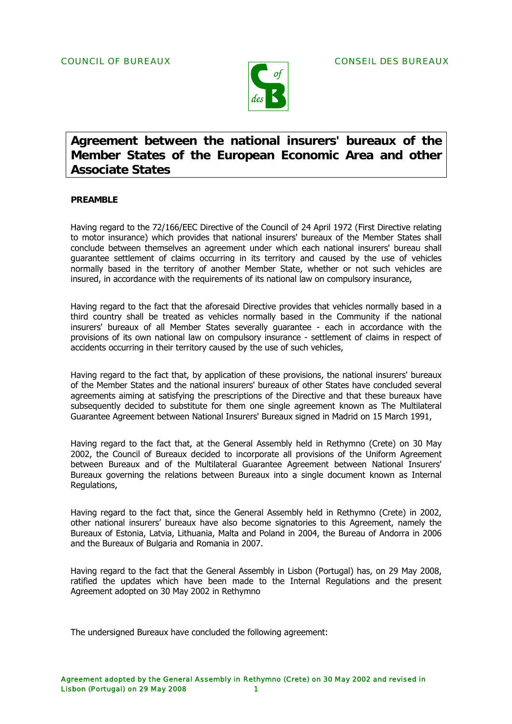

# **Agreement between the national insurers' bureaux of the Member States of the European Economic Area and other Associate States**

### **PREAMBLE**

Having regard to the 72/166/EEC Directive of the Council of 24 April 1972 (First Directive relating to motor insurance) which provides that national insurers' bureaux of the Member States shall conclude between themselves an agreement under which each national insurers' bureau shall guarantee settlement of claims occurring in its territory and caused by the use of vehicles normally based in the territory of another Member State, whether or not such vehicles are insured, in accordance with the requirements of its national law on compulsory insurance,

Having regard to the fact that the aforesaid Directive provides that vehicles normally based in a third country shall be treated as vehicles normally based in the Community if the national insurers' bureaux of all Member States severally guarantee - each in accordance with the provisions of its own national law on compulsory insurance - settlement of claims in respect of accidents occurring in their territory caused by the use of such vehicles,

Having regard to the fact that, by application of these provisions, the national insurers' bureaux of the Member States and the national insurers' bureaux of other States have concluded several agreements aiming at satisfying the prescriptions of the Directive and that these bureaux have subsequently decided to substitute for them one single agreement known as The Multilateral Guarantee Agreement between National Insurers' Bureaux signed in Madrid on 15 March 1991,

Having regard to the fact that, at the General Assembly held in Rethymno (Crete) on 30 May 2002, the Council of Bureaux decided to incorporate all provisions of the Uniform Agreement between Bureaux and of the Multilateral Guarantee Agreement between National Insurers' Bureaux governing the relations between Bureaux into a single document known as Internal Regulations,

Having regard to the fact that, since the General Assembly held in Rethymno (Crete) in 2002, other national insurers' bureaux have also become signatories to this Agreement, namely the Bureaux of Estonia, Latvia, Lithuania, Malta and Poland in 2004, the Bureau of Andorra in 2006 and the Bureaux of Bulgaria and Romania in 2007.

Having regard to the fact that the General Assembly in Lisbon (Portugal) has, on 29 May 2008, ratified the updates which have been made to the Internal Regulations and the present Agreement adopted on 30 May 2002 in Rethymno

The undersigned Bureaux have concluded the following agreement: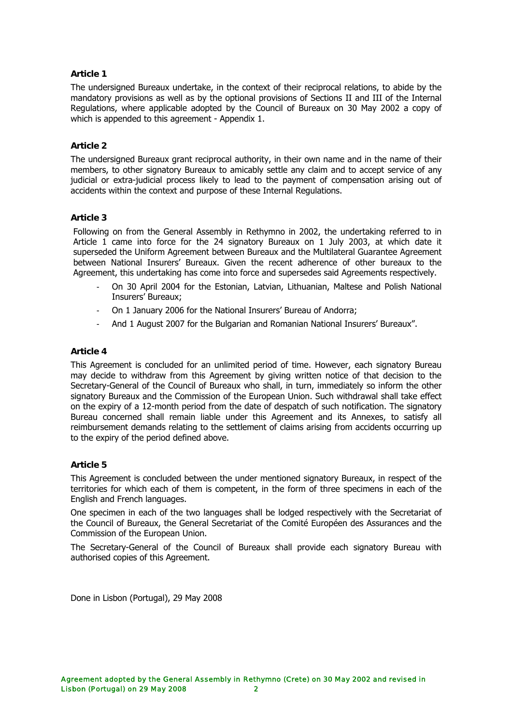## **Article 1**

The undersigned Bureaux undertake, in the context of their reciprocal relations, to abide by the mandatory provisions as well as by the optional provisions of Sections II and III of the Internal Regulations, where applicable adopted by the Council of Bureaux on 30 May 2002 a copy of which is appended to this agreement - Appendix 1.

## **Article 2**

The undersigned Bureaux grant reciprocal authority, in their own name and in the name of their members, to other signatory Bureaux to amicably settle any claim and to accept service of any judicial or extra-judicial process likely to lead to the payment of compensation arising out of accidents within the context and purpose of these Internal Regulations.

### **Article 3**

Following on from the General Assembly in Rethymno in 2002, the undertaking referred to in Article 1 came into force for the 24 signatory Bureaux on 1 July 2003, at which date it superseded the Uniform Agreement between Bureaux and the Multilateral Guarantee Agreement between National Insurers' Bureaux. Given the recent adherence of other bureaux to the Agreement, this undertaking has come into force and supersedes said Agreements respectively.

- On 30 April 2004 for the Estonian, Latvian, Lithuanian, Maltese and Polish National Insurers' Bureaux;
- On 1 January 2006 for the National Insurers' Bureau of Andorra;
- And 1 August 2007 for the Bulgarian and Romanian National Insurers' Bureaux".

### **Article 4**

This Agreement is concluded for an unlimited period of time. However, each signatory Bureau may decide to withdraw from this Agreement by giving written notice of that decision to the Secretary-General of the Council of Bureaux who shall, in turn, immediately so inform the other signatory Bureaux and the Commission of the European Union. Such withdrawal shall take effect on the expiry of a 12-month period from the date of despatch of such notification. The signatory Bureau concerned shall remain liable under this Agreement and its Annexes, to satisfy all reimbursement demands relating to the settlement of claims arising from accidents occurring up to the expiry of the period defined above.

## **Article 5**

This Agreement is concluded between the under mentioned signatory Bureaux, in respect of the territories for which each of them is competent, in the form of three specimens in each of the English and French languages.

One specimen in each of the two languages shall be lodged respectively with the Secretariat of the Council of Bureaux, the General Secretariat of the Comité Européen des Assurances and the Commission of the European Union.

The Secretary-General of the Council of Bureaux shall provide each signatory Bureau with authorised copies of this Agreement.

Done in Lisbon (Portugal), 29 May 2008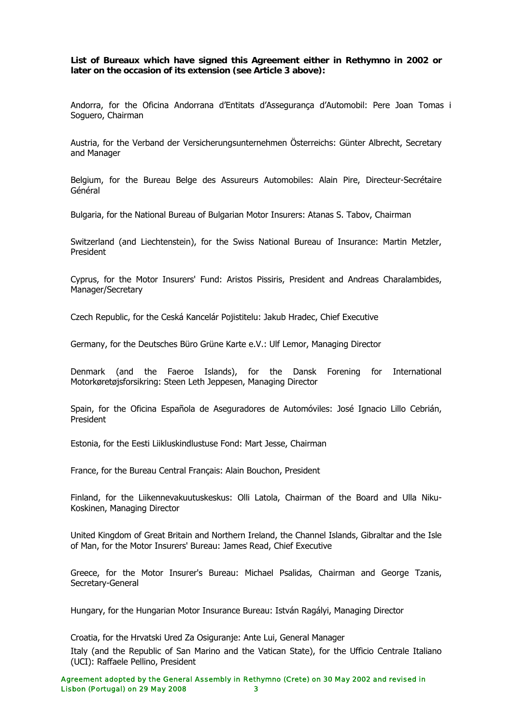**List of Bureaux which have signed this Agreement either in Rethymno in 2002 or later on the occasion of its extension (see Article 3 above):** 

Andorra, for the Oficina Andorrana d'Entitats d'Assegurança d'Automobil: Pere Joan Tomas i Soguero, Chairman

Austria, for the Verband der Versicherungsunternehmen Österreichs: Günter Albrecht, Secretary and Manager

Belgium, for the Bureau Belge des Assureurs Automobiles: Alain Pire, Directeur-Secrétaire Général

Bulgaria, for the National Bureau of Bulgarian Motor Insurers: Atanas S. Tabov, Chairman

Switzerland (and Liechtenstein), for the Swiss National Bureau of Insurance: Martin Metzler, President

Cyprus, for the Motor Insurers' Fund: Aristos Pissiris, President and Andreas Charalambides, Manager/Secretary

Czech Republic, for the Ceská Kancelár Pojistitelu: Jakub Hradec, Chief Executive

Germany, for the Deutsches Büro Grüne Karte e.V.: Ulf Lemor, Managing Director

Denmark (and the Faeroe Islands), for the Dansk Forening for International Motorkøretøjsforsikring: Steen Leth Jeppesen, Managing Director

Spain, for the Oficina Española de Aseguradores de Automóviles: José Ignacio Lillo Cebrián, President

Estonia, for the Eesti Liikluskindlustuse Fond: Mart Jesse, Chairman

France, for the Bureau Central Français: Alain Bouchon, President

Finland, for the Liikennevakuutuskeskus: Olli Latola, Chairman of the Board and Ulla Niku-Koskinen, Managing Director

United Kingdom of Great Britain and Northern Ireland, the Channel Islands, Gibraltar and the Isle of Man, for the Motor Insurers' Bureau: James Read, Chief Executive

Greece, for the Motor Insurer's Bureau: Michael Psalidas, Chairman and George Tzanis, Secretary-General

Hungary, for the Hungarian Motor Insurance Bureau: István Ragályi, Managing Director

Croatia, for the Hrvatski Ured Za Osiguranje: Ante Lui, General Manager

Italy (and the Republic of San Marino and the Vatican State), for the Ufficio Centrale Italiano (UCI): Raffaele Pellino, President

Agreement adopted by the General Assembly in Rethymno (Crete) on 30 May 2002 and revised in Lisbon (Portugal) on 29 May 2008 3